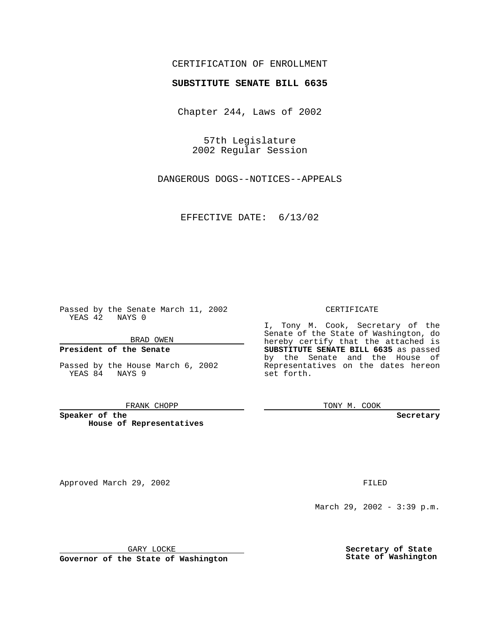# CERTIFICATION OF ENROLLMENT

# **SUBSTITUTE SENATE BILL 6635**

Chapter 244, Laws of 2002

57th Legislature 2002 Regular Session

DANGEROUS DOGS--NOTICES--APPEALS

EFFECTIVE DATE: 6/13/02

Passed by the Senate March 11, 2002 YEAS 42 NAYS 0

BRAD OWEN

### **President of the Senate**

Passed by the House March 6, 2002 YEAS 84 NAYS 9

#### FRANK CHOPP

**Speaker of the House of Representatives**

Approved March 29, 2002 **FILED** 

### CERTIFICATE

I, Tony M. Cook, Secretary of the Senate of the State of Washington, do hereby certify that the attached is **SUBSTITUTE SENATE BILL 6635** as passed by the Senate and the House of Representatives on the dates hereon set forth.

TONY M. COOK

**Secretary**

March 29, 2002 - 3:39 p.m.

GARY LOCKE

**Governor of the State of Washington**

**Secretary of State State of Washington**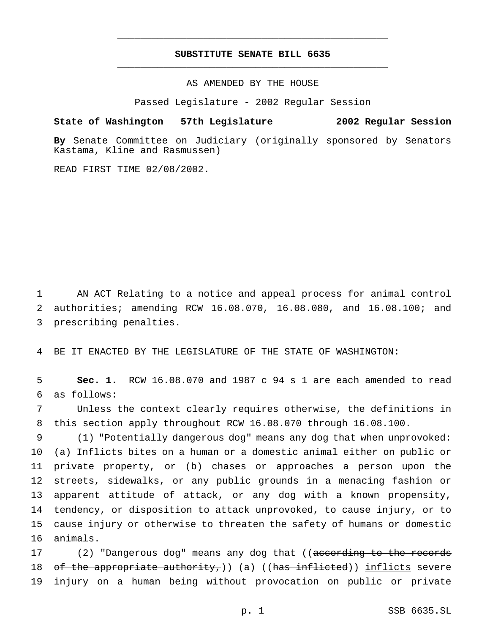# **SUBSTITUTE SENATE BILL 6635** \_\_\_\_\_\_\_\_\_\_\_\_\_\_\_\_\_\_\_\_\_\_\_\_\_\_\_\_\_\_\_\_\_\_\_\_\_\_\_\_\_\_\_\_\_\_\_

\_\_\_\_\_\_\_\_\_\_\_\_\_\_\_\_\_\_\_\_\_\_\_\_\_\_\_\_\_\_\_\_\_\_\_\_\_\_\_\_\_\_\_\_\_\_\_

AS AMENDED BY THE HOUSE

Passed Legislature - 2002 Regular Session

### **State of Washington 57th Legislature 2002 Regular Session**

**By** Senate Committee on Judiciary (originally sponsored by Senators

READ FIRST TIME 02/08/2002.

Kastama, Kline and Rasmussen)

1 AN ACT Relating to a notice and appeal process for animal control 2 authorities; amending RCW 16.08.070, 16.08.080, and 16.08.100; and 3 prescribing penalties.

4 BE IT ENACTED BY THE LEGISLATURE OF THE STATE OF WASHINGTON:

5 **Sec. 1.** RCW 16.08.070 and 1987 c 94 s 1 are each amended to read 6 as follows:

7 Unless the context clearly requires otherwise, the definitions in 8 this section apply throughout RCW 16.08.070 through 16.08.100.

 (1) "Potentially dangerous dog" means any dog that when unprovoked: (a) Inflicts bites on a human or a domestic animal either on public or private property, or (b) chases or approaches a person upon the streets, sidewalks, or any public grounds in a menacing fashion or apparent attitude of attack, or any dog with a known propensity, tendency, or disposition to attack unprovoked, to cause injury, or to cause injury or otherwise to threaten the safety of humans or domestic 16 animals.

17 (2) "Dangerous dog" means any dog that ((according to the records 18 of the appropriate authority,)) (a) ((has inflicted)) inflicts severe 19 injury on a human being without provocation on public or private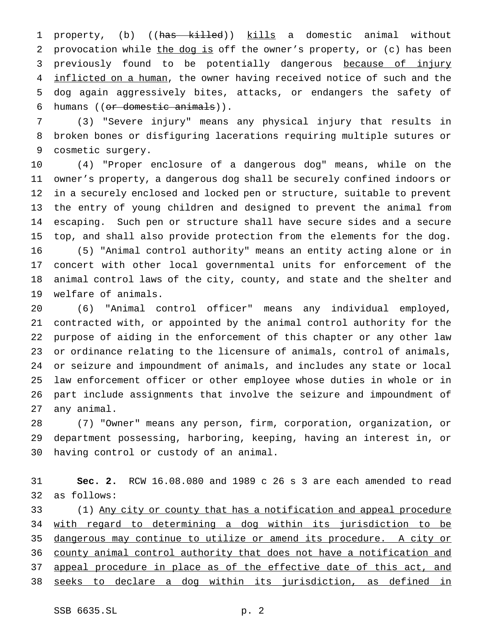1 property, (b) ((has killed)) kills a domestic animal without 2 provocation while the dog is off the owner's property, or (c) has been 3 previously found to be potentially dangerous because of injury 4 inflicted on a human, the owner having received notice of such and the dog again aggressively bites, attacks, or endangers the safety of humans ((or domestic animals)).

 (3) "Severe injury" means any physical injury that results in broken bones or disfiguring lacerations requiring multiple sutures or cosmetic surgery.

 (4) "Proper enclosure of a dangerous dog" means, while on the owner's property, a dangerous dog shall be securely confined indoors or in a securely enclosed and locked pen or structure, suitable to prevent the entry of young children and designed to prevent the animal from escaping. Such pen or structure shall have secure sides and a secure top, and shall also provide protection from the elements for the dog. (5) "Animal control authority" means an entity acting alone or in concert with other local governmental units for enforcement of the animal control laws of the city, county, and state and the shelter and welfare of animals.

 (6) "Animal control officer" means any individual employed, contracted with, or appointed by the animal control authority for the purpose of aiding in the enforcement of this chapter or any other law or ordinance relating to the licensure of animals, control of animals, or seizure and impoundment of animals, and includes any state or local law enforcement officer or other employee whose duties in whole or in part include assignments that involve the seizure and impoundment of any animal.

 (7) "Owner" means any person, firm, corporation, organization, or department possessing, harboring, keeping, having an interest in, or having control or custody of an animal.

 **Sec. 2.** RCW 16.08.080 and 1989 c 26 s 3 are each amended to read as follows:

 (1) Any city or county that has a notification and appeal procedure with regard to determining a dog within its jurisdiction to be dangerous may continue to utilize or amend its procedure. A city or county animal control authority that does not have a notification and appeal procedure in place as of the effective date of this act, and seeks to declare a dog within its jurisdiction, as defined in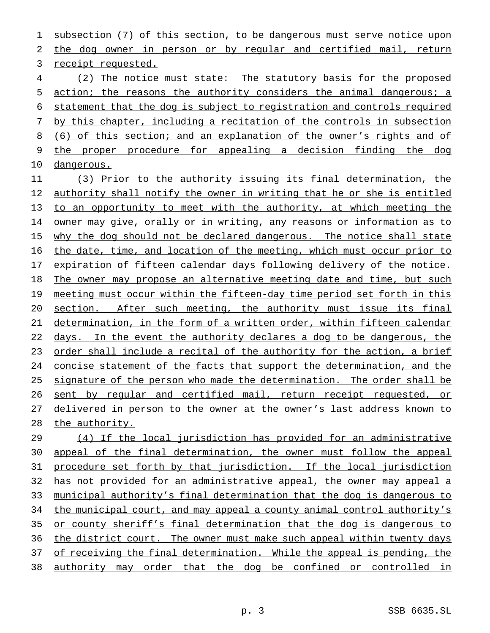subsection (7) of this section, to be dangerous must serve notice upon the dog owner in person or by regular and certified mail, return receipt requested.

 (2) The notice must state: The statutory basis for the proposed 5 action; the reasons the authority considers the animal dangerous; a statement that the dog is subject to registration and controls required by this chapter, including a recitation of the controls in subsection (6) of this section; and an explanation of the owner's rights and of the proper procedure for appealing a decision finding the dog dangerous.

 (3) Prior to the authority issuing its final determination, the authority shall notify the owner in writing that he or she is entitled to an opportunity to meet with the authority, at which meeting the owner may give, orally or in writing, any reasons or information as to 15 why the dog should not be declared dangerous. The notice shall state 16 the date, time, and location of the meeting, which must occur prior to expiration of fifteen calendar days following delivery of the notice. The owner may propose an alternative meeting date and time, but such 19 meeting must occur within the fifteen-day time period set forth in this section. After such meeting, the authority must issue its final determination, in the form of a written order, within fifteen calendar 22 days. In the event the authority declares a dog to be dangerous, the 23 order shall include a recital of the authority for the action, a brief concise statement of the facts that support the determination, and the 25 signature of the person who made the determination. The order shall be 26 sent by regular and certified mail, return receipt requested, or delivered in person to the owner at the owner's last address known to 28 the authority.

 (4) If the local jurisdiction has provided for an administrative appeal of the final determination, the owner must follow the appeal procedure set forth by that jurisdiction. If the local jurisdiction has not provided for an administrative appeal, the owner may appeal a municipal authority's final determination that the dog is dangerous to 34 the municipal court, and may appeal a county animal control authority's or county sheriff's final determination that the dog is dangerous to 36 the district court. The owner must make such appeal within twenty days 37 of receiving the final determination. While the appeal is pending, the authority may order that the dog be confined or controlled in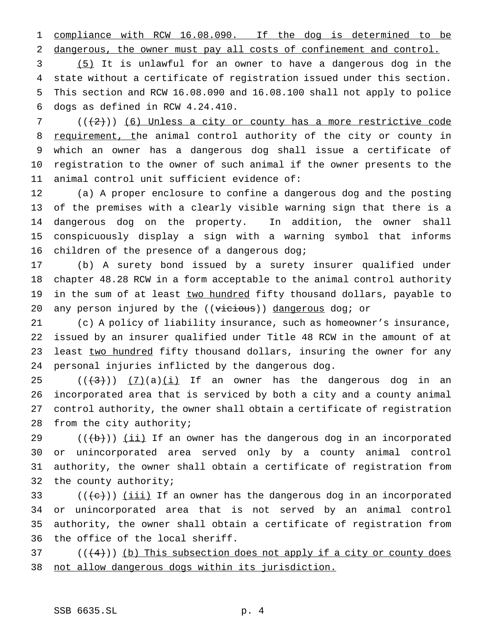compliance with RCW 16.08.090. If the dog is determined to be dangerous, the owner must pay all costs of confinement and control.

 (5) It is unlawful for an owner to have a dangerous dog in the state without a certificate of registration issued under this section. This section and RCW 16.08.090 and 16.08.100 shall not apply to police dogs as defined in RCW 4.24.410.

 ( $(\frac{2}{2})$ ) (6) Unless a city or county has a more restrictive code 8 requirement, the animal control authority of the city or county in which an owner has a dangerous dog shall issue a certificate of registration to the owner of such animal if the owner presents to the animal control unit sufficient evidence of:

 (a) A proper enclosure to confine a dangerous dog and the posting of the premises with a clearly visible warning sign that there is a dangerous dog on the property. In addition, the owner shall conspicuously display a sign with a warning symbol that informs children of the presence of a dangerous dog;

 (b) A surety bond issued by a surety insurer qualified under chapter 48.28 RCW in a form acceptable to the animal control authority 19 in the sum of at least two hundred fifty thousand dollars, payable to 20 any person injured by the  $((\overline{v}i\overline{c}i\overline{c}i\overline{c}j\overline{c}i\overline{c}j\overline{c}j\overline{c}j\overline{c}j\overline{c}j\overline{c}j\overline{c}j\overline{c}j\overline{c}j\overline{c}j\overline{c}j\overline{c}j\overline{c}j\overline{c}j\overline{c}j\overline{c}j\overline{c}j\overline{c}j\overline{c}j\overline{c}j\overline{c}j\overline{c}j\$ 

 (c) A policy of liability insurance, such as homeowner's insurance, issued by an insurer qualified under Title 48 RCW in the amount of at 23 least two hundred fifty thousand dollars, insuring the owner for any personal injuries inflicted by the dangerous dog.

 $((+3))$   $(7)(a)(i)$  If an owner has the dangerous dog in an incorporated area that is serviced by both a city and a county animal control authority, the owner shall obtain a certificate of registration from the city authority;

 $((+b))$   $(ii)$  If an owner has the dangerous dog in an incorporated or unincorporated area served only by a county animal control authority, the owner shall obtain a certificate of registration from the county authority;

33 ( $((e))$  <u>(iii)</u> If an owner has the dangerous dog in an incorporated or unincorporated area that is not served by an animal control authority, the owner shall obtain a certificate of registration from the office of the local sheriff.

 ( $(\frac{4}{3})$ ) (b) This subsection does not apply if a city or county does not allow dangerous dogs within its jurisdiction.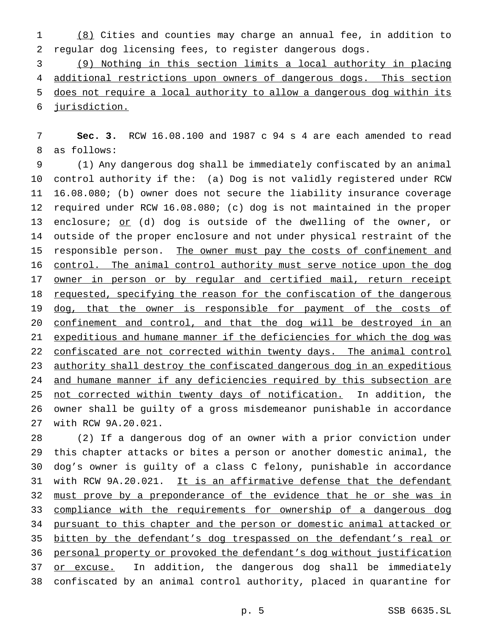1 (8) Cities and counties may charge an annual fee, in addition to 2 regular dog licensing fees, to register dangerous dogs.

 (9) Nothing in this section limits a local authority in placing 4 additional restrictions upon owners of dangerous dogs. This section does not require a local authority to allow a dangerous dog within its jurisdiction.

7 **Sec. 3.** RCW 16.08.100 and 1987 c 94 s 4 are each amended to read 8 as follows:

9 (1) Any dangerous dog shall be immediately confiscated by an animal 10 control authority if the: (a) Dog is not validly registered under RCW 11 16.08.080; (b) owner does not secure the liability insurance coverage 12 required under RCW 16.08.080; (c) dog is not maintained in the proper 13 enclosure; or (d) dog is outside of the dwelling of the owner, or 14 outside of the proper enclosure and not under physical restraint of the 15 responsible person. The owner must pay the costs of confinement and 16 control. The animal control authority must serve notice upon the dog 17 owner in person or by regular and certified mail, return receipt 18 requested, specifying the reason for the confiscation of the dangerous 19 dog, that the owner is responsible for payment of the costs of 20 confinement and control, and that the dog will be destroyed in an 21 expeditious and humane manner if the deficiencies for which the dog was 22 confiscated are not corrected within twenty days. The animal control 23 authority shall destroy the confiscated dangerous dog in an expeditious 24 and humane manner if any deficiencies required by this subsection are 25 not corrected within twenty days of notification. In addition, the 26 owner shall be guilty of a gross misdemeanor punishable in accordance 27 with RCW 9A.20.021.

28 (2) If a dangerous dog of an owner with a prior conviction under 29 this chapter attacks or bites a person or another domestic animal, the 30 dog's owner is guilty of a class C felony, punishable in accordance 31 with RCW 9A.20.021. It is an affirmative defense that the defendant 32 must prove by a preponderance of the evidence that he or she was in 33 compliance with the requirements for ownership of a dangerous dog 34 pursuant to this chapter and the person or domestic animal attacked or 35 bitten by the defendant's dog trespassed on the defendant's real or 36 personal property or provoked the defendant's dog without justification 37 or excuse. In addition, the dangerous dog shall be immediately 38 confiscated by an animal control authority, placed in quarantine for